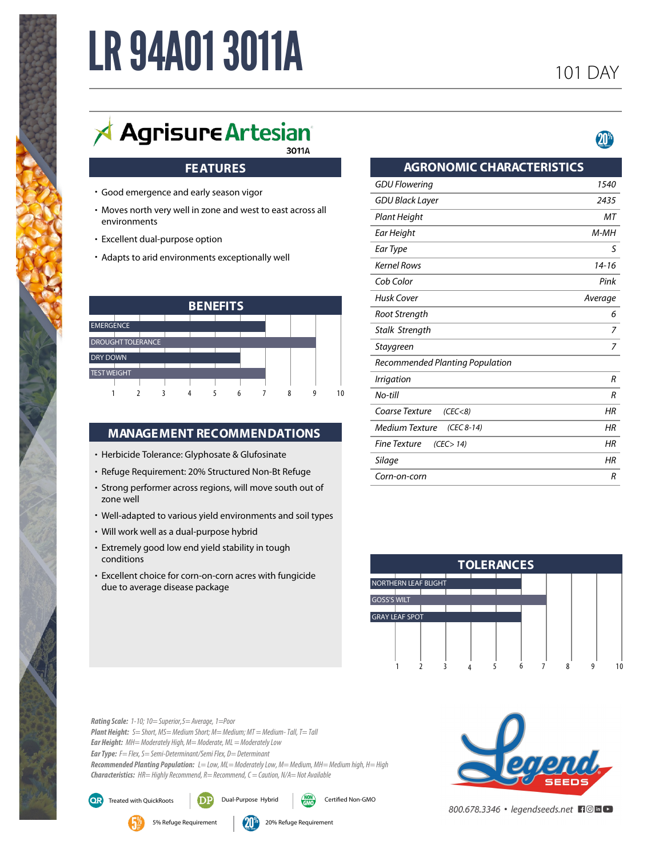# **LR 94A01 3011A**

# $\overrightarrow{A}$  Agrisure Artesian 3011A

# **FEATURES**

- Good emergence and early season vigor **•**
- Moves north very well in zone and west to east across all **•** environments
- Excellent dual-purpose option **•**
- Adapts to arid environments exceptionally well **•**

| <b>BENEFITS</b>    |                          |  |  |  |  |  |  |   |    |
|--------------------|--------------------------|--|--|--|--|--|--|---|----|
|                    |                          |  |  |  |  |  |  |   |    |
| <b>EMERGENCE</b>   |                          |  |  |  |  |  |  |   |    |
|                    | <b>DROUGHT TOLERANCE</b> |  |  |  |  |  |  |   |    |
| <b>DRY DOWN</b>    |                          |  |  |  |  |  |  |   |    |
| <b>TEST WEIGHT</b> |                          |  |  |  |  |  |  |   |    |
|                    |                          |  |  |  |  |  |  |   |    |
|                    |                          |  |  |  |  |  |  | a | 10 |

# **MANAGEMENT RECOMMENDATIONS**

- Herbicide Tolerance: Glyphosate & Glufosinate **•**
- Refuge Requirement: 20% Structured Non-Bt Refuge **•**
- Strong performer across regions, will move south out of **•** zone well
- Well-adapted to various yield environments and soil types **•**
- Will work well as a dual-purpose hybrid **•**
- Extremely good low end yield stability in tough **•** conditions
- Excellent choice for corn-on-corn acres with fungicide **•** due to average disease package

| <b>AGRONOMIC CHARACTERISTICS</b>  |         |  |  |  |  |  |  |
|-----------------------------------|---------|--|--|--|--|--|--|
| <b>GDU Flowering</b>              | 1540    |  |  |  |  |  |  |
| <b>GDU Black Layer</b>            | 2435    |  |  |  |  |  |  |
| Plant Height                      | МT      |  |  |  |  |  |  |
| Ear Height                        | M-MH    |  |  |  |  |  |  |
| Ear Type                          | S       |  |  |  |  |  |  |
| <b>Kernel Rows</b>                | 14-16   |  |  |  |  |  |  |
| Cob Color                         | Pink    |  |  |  |  |  |  |
| Husk Cover                        | Average |  |  |  |  |  |  |
| Root Strength                     | 6       |  |  |  |  |  |  |
| Stalk Strength                    | 7       |  |  |  |  |  |  |
| Staygreen                         | 7       |  |  |  |  |  |  |
| Recommended Planting Population   |         |  |  |  |  |  |  |
| Irrigation                        | R       |  |  |  |  |  |  |
| No-till                           | R       |  |  |  |  |  |  |
| Coarse Texture<br>(CEC < 8)       | HR      |  |  |  |  |  |  |
| Medium Texture<br>(CEC 8-14)      | HR      |  |  |  |  |  |  |
| <b>Fine Texture</b><br>(CEC > 14) | HR      |  |  |  |  |  |  |
| Silage                            | HR      |  |  |  |  |  |  |
| Corn-on-corn                      | R       |  |  |  |  |  |  |



*Rating Scale: 1-10; 10= Superior,5= Average, 1=Poor Plant Height: S= Short, MS= Medium Short; M= Medium; MT = Medium- Tall, T= Tall Ear Type: F= Flex, S= Semi-Determinant/Semi Flex, D= Determinant Ear Height: MH= Moderately High, M= Moderate, ML = Moderately Low HR= Highly Recommend, R= Recommend, C = Caution, N/A= Not Available Characteristics: Recommended Planting Population: L= Low, ML= Moderately Low, M= Medium, MH= Medium high, H= High*



800.678.3346 · legendseeds.net FIO in D



QR)



Treated with QuickRoots  $\Box$  Dual-Purpose Hybrid  $\Box$  Certified Non-GMO

5% Refuge Requirement 200% Refuge Requirement